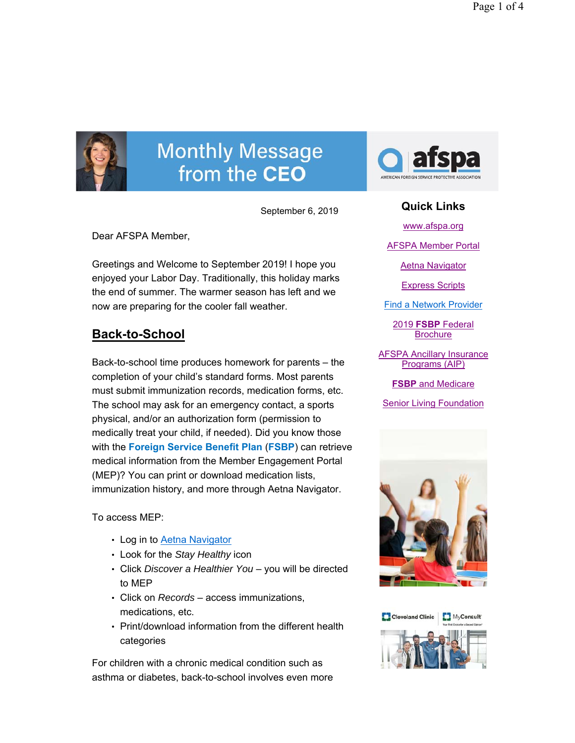

# **Monthly Message** from the CEO

September 6, 2019

Dear AFSPA Member,

Greetings and Welcome to September 2019! I hope you enjoyed your Labor Day. Traditionally, this holiday marks the end of summer. The warmer season has left and we now are preparing for the cooler fall weather.

## **Back-to-School**

Back-to-school time produces homework for parents – the completion of your child's standard forms. Most parents must submit immunization records, medication forms, etc. The school may ask for an emergency contact, a sports physical, and/or an authorization form (permission to medically treat your child, if needed). Did you know those with the **Foreign Service Benefit Plan** (**FSBP**) can retrieve medical information from the Member Engagement Portal (MEP)? You can print or download medication lists, immunization history, and more through Aetna Navigator.

To access MEP:

- Log in to Aetna Navigator
- Look for the *Stay Healthy* icon
- Click *Discover a Healthier You*  you will be directed to MEP
- Click on *Records*  access immunizations, medications, etc.
- Print/download information from the different health categories

For children with a chronic medical condition such as asthma or diabetes, back-to-school involves even more



### **Quick Links**

www.afspa.org

AFSPA Member Portal

Aetna Navigator

Express Scripts

Find a Network Provider

2019 **FSBP** Federal **Brochure** 

AFSPA Ancillary Insurance Programs (AIP)

**FSBP** and Medicare

Senior Living Foundation



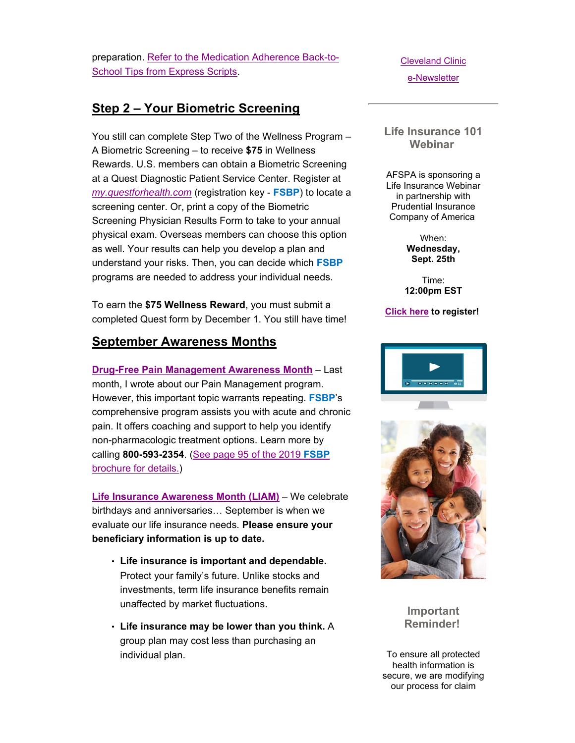preparation. Refer to the Medication Adherence Back-to-School Tips from Express Scripts.

### **Step 2 – Your Biometric Screening**

You still can complete Step Two of the Wellness Program – A Biometric Screening – to receive **\$75** in Wellness Rewards. U.S. members can obtain a Biometric Screening at a Quest Diagnostic Patient Service Center. Register at *my.questforhealth.com* (registration key - **FSBP**) to locate a screening center. Or, print a copy of the Biometric Screening Physician Results Form to take to your annual physical exam. Overseas members can choose this option as well. Your results can help you develop a plan and understand your risks. Then, you can decide which **FSBP**  programs are needed to address your individual needs.

To earn the **\$75 Wellness Reward**, you must submit a completed Quest form by December 1. You still have time!

#### **September Awareness Months**

**Drug-Free Pain Management Awareness Month** – Last month, I wrote about our Pain Management program. However, this important topic warrants repeating. **FSBP**'s comprehensive program assists you with acute and chronic pain. It offers coaching and support to help you identify non-pharmacologic treatment options. Learn more by calling **800-593-2354**. (See page 95 of the 2019 **FSBP** brochure for details.)

**Life Insurance Awareness Month (LIAM)** – We celebrate birthdays and anniversaries… September is when we evaluate our life insurance needs. **Please ensure your beneficiary information is up to date.** 

- **Life insurance is important and dependable.** Protect your family's future. Unlike stocks and investments, term life insurance benefits remain unaffected by market fluctuations.
- **Life insurance may be lower than you think.** A group plan may cost less than purchasing an individual plan.

Cleveland Clinic e-Newsletter

**Life Insurance 101 Webinar** 

AFSPA is sponsoring a Life Insurance Webinar in partnership with Prudential Insurance Company of America

> When: **Wednesday, Sept. 25th**

Time: **12:00pm EST** 

#### **Click here to register!**





**Important Reminder!**

To ensure all protected health information is secure, we are modifying our process for claim